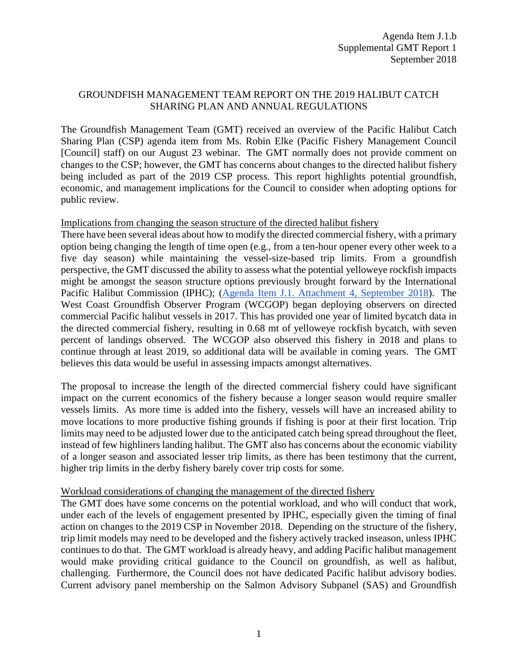## GROUNDFISH MANAGEMENT TEAM REPORT ON THE 2019 HALIBUT CATCH SHARING PLAN AND ANNUAL REGULATIONS

The Groundfish Management Team (GMT) received an overview of the Pacific Halibut Catch Sharing Plan (CSP) agenda item from Ms. Robin Elke (Pacific Fishery Management Council [Council] staff) on our August 23 webinar. The GMT normally does not provide comment on changes to the CSP; however, the GMT has concerns about changes to the directed halibut fishery being included as part of the 2019 CSP process. This report highlights potential groundfish, economic, and management implications for the Council to consider when adopting options for public review.

Implications from changing the season structure of the directed halibut fishery

There have been several ideas about how to modify the directed commercial fishery, with a primary option being changing the length of time open (e.g., from a ten-hour opener every other week to a five day season) while maintaining the vessel-size-based trip limits. From a groundfish perspective, the GMT discussed the ability to assess what the potential yelloweye rockfish impacts might be amongst the season structure options previously brought forward by the International Pacific Halibut Commission (IPHC); [\(Agenda Item J.1. Attachment 4, September 2018\)](https://www.pcouncil.org/wp-content/uploads/2018/08/J1_Supp_Att4_PastIPHC_Rpts_SEPTBB2018.pdf). The West Coast Groundfish Observer Program (WCGOP) began deploying observers on directed commercial Pacific halibut vessels in 2017. This has provided one year of limited bycatch data in the directed commercial fishery, resulting in 0.68 mt of yelloweye rockfish bycatch, with seven percent of landings observed. The WCGOP also observed this fishery in 2018 and plans to continue through at least 2019, so additional data will be available in coming years. The GMT believes this data would be useful in assessing impacts amongst alternatives.

The proposal to increase the length of the directed commercial fishery could have significant impact on the current economics of the fishery because a longer season would require smaller vessels limits. As more time is added into the fishery, vessels will have an increased ability to move locations to more productive fishing grounds if fishing is poor at their first location. Trip limits may need to be adjusted lower due to the anticipated catch being spread throughout the fleet, instead of few highliners landing halibut. The GMT also has concerns about the economic viability of a longer season and associated lesser trip limits, as there has been testimony that the current, higher trip limits in the derby fishery barely cover trip costs for some.

## Workload considerations of changing the management of the directed fishery

The GMT does have some concerns on the potential workload, and who will conduct that work, under each of the levels of engagement presented by IPHC, especially given the timing of final action on changes to the 2019 CSP in November 2018. Depending on the structure of the fishery, trip limit models may need to be developed and the fishery actively tracked inseason, unless IPHC continues to do that. The GMT workload is already heavy, and adding Pacific halibut management would make providing critical guidance to the Council on groundfish, as well as halibut, challenging. Furthermore, the Council does not have dedicated Pacific halibut advisory bodies. Current advisory panel membership on the Salmon Advisory Subpanel (SAS) and Groundfish